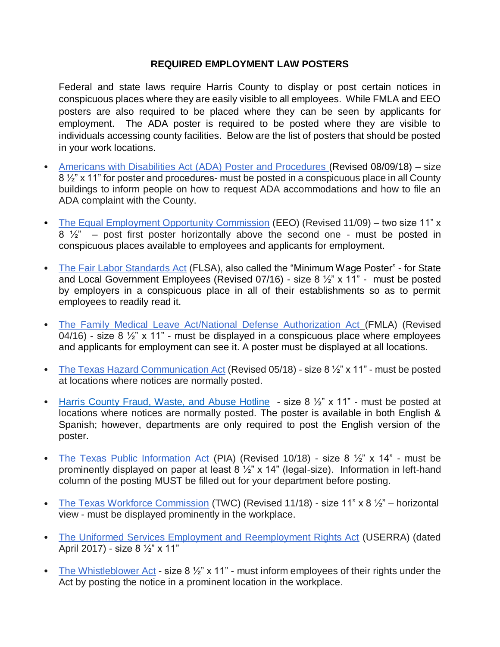## **REQUIRED EMPLOYMENT LAW POSTERS**

Federal and state laws require Harris County to display or post certain notices in conspicuous places where they are easily visible to all employees. While FMLA and EEO posters are also required to be placed where they can be seen by applicants for employment. The ADA poster is required to be posted where they are visible to individuals accessing county facilities. Below are the list of posters that should be posted in your work locations.

- [Americans with Disabilities Act \(ADA\) Poster and Procedures](https://hrrm.harriscountytx.gov/Documents/ADAPoster.pdf) (Revised 08/09/18) size 8 ½" x 11" for poster and procedures- must be posted in a conspicuous place in all County buildings to inform people on how to request ADA accommodations and how to file an ADA complaint with the County.
- [The Equal Employment Opportunity Commission](https://hrrm.harriscountytx.gov/Documents/eeopost.pdf) (EEO) (Revised 11/09) two size 11" x  $8\frac{1}{2}$  – post first poster horizontally above the second one - must be posted in conspicuous places available to employees and applicants for employment.
- [The Fair Labor Standards Act](https://hrrm.harriscountytx.gov/Documents/TheFairLaborStandardsAct.pdf) (FLSA), also called the "Minimum Wage Poster" for State and Local Government Employees (Revised 07/16) - size 8 ½" x 11" - must be posted by employers in a conspicuous place in all of their establishments so as to permit employees to readily read it.
- [The Family Medical Leave Act/National Defense Authorization Act](https://hrrm.harriscountytx.gov/Documents/fmlaen.pdf) (FMLA) (Revised 04/16) - size  $8\frac{1}{2}$  x 11" - must be displayed in a conspicuous place where employees and applicants for employment can see it. A poster must be displayed at all locations.
- [The Texas Hazard Communication Act](https://hrrm.harriscountytx.gov/Documents/TXHazardCommunicationActRev052018.pdf) (Revised 05/18) size 8  $\frac{1}{2}$ " x 11" must be posted at locations where notices are normally posted.
- [Harris County Fraud, Waste, and Abuse Hotline](file:///C:/Users/lina.garcia/AppData/Local/Microsoft/Windows/INetCache/Content.Outlook/W3KMW8JU/FWA%20English%20&%20Spanish.pdf)  size 8 1/2" x 11" must be posted at locations where notices are normally posted. The poster is available in both English & Spanish; however, departments are only required to post the English version of the poster.
- [The Texas Public Information Act](https://hrrm.harriscountytx.gov/Documents/PIANotice.pdf) (PIA) (Revised 10/18) size 8 ½" x 14" must be prominently displayed on paper at least 8 ½" x 14" (legal-size). Information in left-hand column of the posting MUST be filled out for your department before posting.
- [The Texas Workforce Commission](https://hrrm.harriscountytx.gov/Documents/TexasWorkforceCommissionRev2018.pdf) (TWC) (Revised 11/18) size 11" x 8 1/2" horizontal view - must be displayed prominently in the workplace.
- [The Uniformed Services Employment and Reemployment Rights Act](https://hrrm.harriscountytx.gov/Documents/USERRA_Private.pdf) (USERRA) (dated April 2017) - size 8 ½" x 11"
- [The Whistleblower Act](https://hrrm.harriscountytx.gov/Documents/whistleblower_poster%202015.pdf) size  $8\frac{1}{2}$ " x 11" must inform employees of their rights under the Act by posting the notice in a prominent location in the workplace.